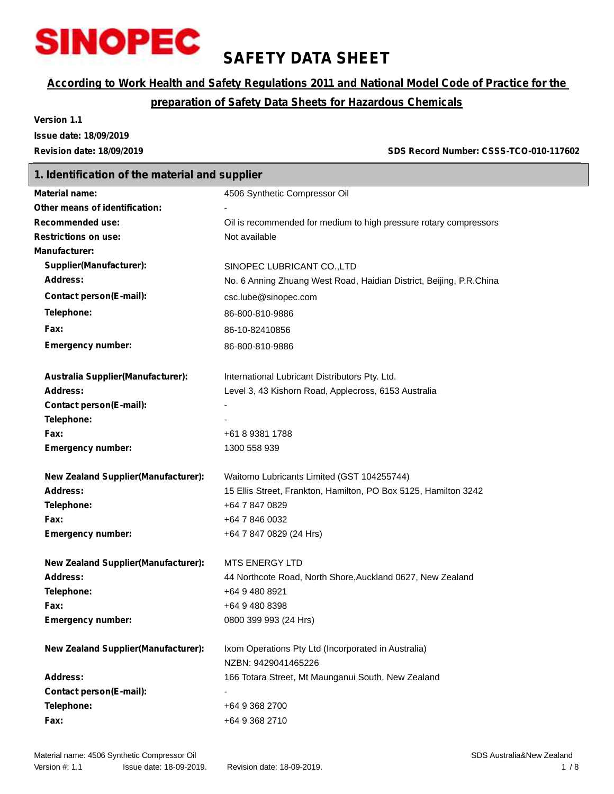

**1. Identification of the material and supplier**

# **SAFETY DATA SHEET**

### *According to Work Health and Safety Regulations 2011 and National Model Code of Practice for the*

### *preparation of Safety Data Sheets for Hazardous Chemicals*

**International Lubricant Distributors Pty. Ltd.** 

**Address:** Level 3, 43 Kishorn Road, Applecross, 6153 Australia

**Address:** 44 Northcote Road, North Shore,Auckland 0627, New Zealand

**Version 1.1 Issue date: 18/09/2019**

**Revision date: 18/09/2019 SDS Record Number: CSSS-TCO-010-117602**

# **Material name:** 4506 Synthetic Compressor Oil **Other means of identification:** - **Recommended use:** Oil is recommended for medium to high pressure rotary compressors **Restrictions on use:** Not available **Manufacturer: Supplier(Manufacturer):** SINOPEC LUBRICANT CO.,LTD **Address:** No. 6 Anning Zhuang West Road, Haidian District, Beijing, P.R.China **Contact person(E-mail):** csc.lube@sinopec.com **Telephone:** 86-800-810-9886 **Fax:** 86-10-82410856 **Emergency number:** 86-800-810-9886

| <b>Australia Supplier (Manufacturer):</b> | Interna |
|-------------------------------------------|---------|
| Address:                                  | Level:  |
| Contact person(E-mail):                   | -       |
| Telephone:                                | -       |
| <b>Fax:</b>                               | +618    |

| <b>Emergency number:</b> |  |
|--------------------------|--|

| New Zealand Supplier (Manufacturer): | Waitomo Lubricants Limited (GST 104255744)                      |
|--------------------------------------|-----------------------------------------------------------------|
| <b>Address:</b>                      | 15 Ellis Street, Frankton, Hamilton, PO Box 5125, Hamilton 3242 |
| Telephone:                           | +64 7 847 0829                                                  |
| Fax:                                 | +64 7 846 0032                                                  |
| <b>Emergency number:</b>             | +64 7 847 0829 (24 Hrs)                                         |

**MTS ENERGY LTD** 

**Telephone:** +64 9 480 8921 **Fax:** +64 9 480 8398

**Fax:** +61 8 9381 1788 **Emergency number:** 1300 558 939

| <b>New Zealand Supplier (Manufacturer):</b> |
|---------------------------------------------|
| Address:                                    |
| Telephone:                                  |
| Fax:                                        |
| Emergency number                            |

**Emergency number:** 0800 399 993 (24 Hrs) **New Zealand Supplier(Manufacturer):** Ixom Operations Pty Ltd (Incorporated in Australia) NZBN: 9429041465226 **Address:** 166 Totara Street, Mt Maunganui South, New Zealand **Contact person(E-mail):** - **Telephone:** +64 9 368 2700

**Fax:** +64 9 368 2710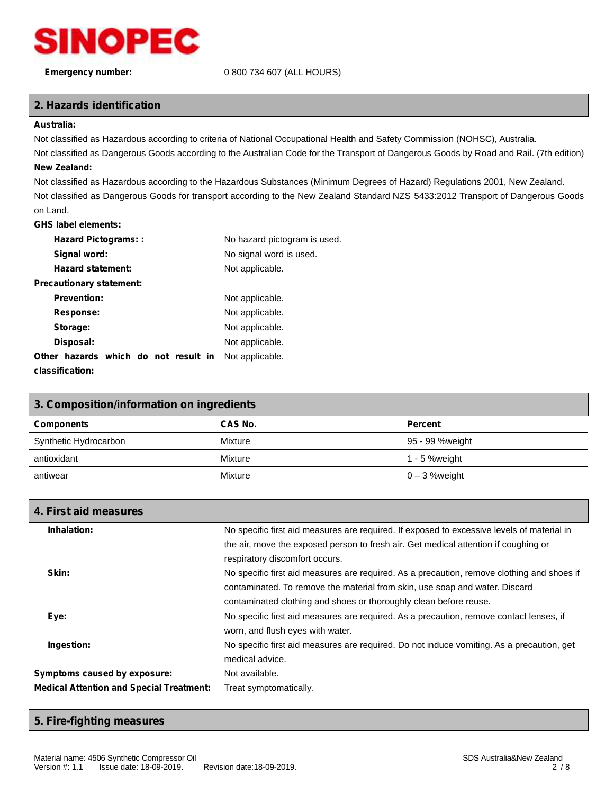

#### **Emergency number:** 0 800 734 607 (ALL HOURS)

#### **2. Hazards identification**

#### **Australia:**

Not classified as Hazardous according to criteria of National Occupational Health and Safety Commission (NOHSC), Australia.

Not classified as Dangerous Goods according to the Australian Code for the Transport of Dangerous Goods by Road and Rail. (7th edition) **New Zealand:**

Not classified as Hazardous according to the Hazardous Substances (Minimum Degrees of Hazard) Regulations 2001, New Zealand. Not classified as Dangerous Goods for transport according to the New Zealand Standard NZS 5433:2012 Transport of Dangerous Goods on Land.

#### **GHS label elements:**

| <b>Hazard Pictograms::</b>           | No hazard pictogram is used. |
|--------------------------------------|------------------------------|
| Signal word:                         | No signal word is used.      |
| <b>Hazard statement:</b>             | Not applicable.              |
| Precautionary statement:             |                              |
| <b>Prevention:</b>                   | Not applicable.              |
| Response:                            | Not applicable.              |
| Storage:                             | Not applicable.              |
| Disposal:                            | Not applicable.              |
| Other hazards which do not result in | Not applicable.              |
| classification:                      |                              |

| 3. Composition/information on ingredients |                  |  |  |
|-------------------------------------------|------------------|--|--|
| CAS No.                                   | <b>Percent</b>   |  |  |
| Mixture                                   | 95 - 99 %weight  |  |  |
| Mixture                                   | $1 - 5$ % weight |  |  |
| Mixture                                   | $0 - 3$ % weight |  |  |
|                                           |                  |  |  |

| 4. First aid measures                           |                                                                                            |
|-------------------------------------------------|--------------------------------------------------------------------------------------------|
| Inhalation:                                     | No specific first aid measures are required. If exposed to excessive levels of material in |
|                                                 | the air, move the exposed person to fresh air. Get medical attention if coughing or        |
|                                                 | respiratory discomfort occurs.                                                             |
| Skin:                                           | No specific first aid measures are required. As a precaution, remove clothing and shoes if |
|                                                 | contaminated. To remove the material from skin, use soap and water. Discard                |
|                                                 | contaminated clothing and shoes or thoroughly clean before reuse.                          |
| Eye:                                            | No specific first aid measures are required. As a precaution, remove contact lenses, if    |
|                                                 | worn, and flush eyes with water.                                                           |
| Ingestion:                                      | No specific first aid measures are required. Do not induce vomiting. As a precaution, get  |
|                                                 | medical advice.                                                                            |
| Symptoms caused by exposure:                    | Not available.                                                                             |
| <b>Medical Attention and Special Treatment:</b> | Treat symptomatically.                                                                     |

#### **5. Fire-fighting measures**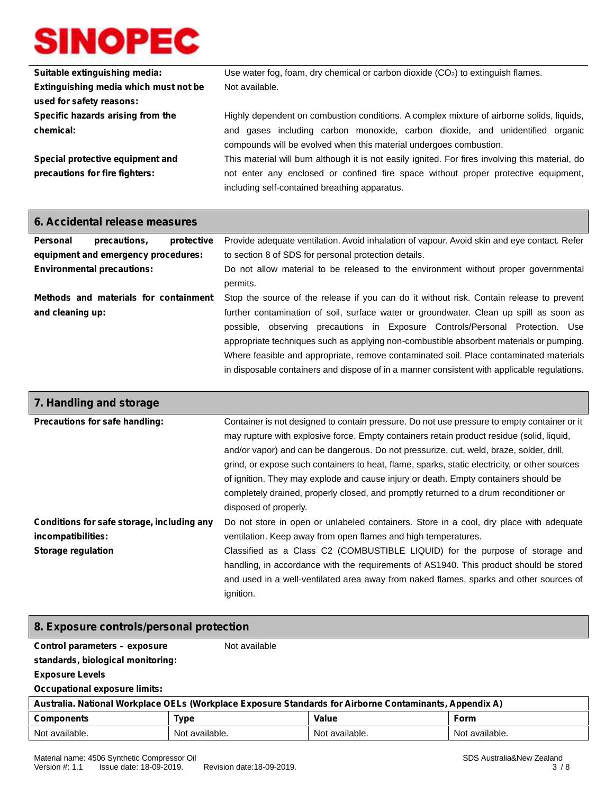| Suitable extinguishing media:         | Use water fog, foam, dry chemical or carbon dioxide $(CO2)$ to extinguish flames.                                                                   |  |  |  |
|---------------------------------------|-----------------------------------------------------------------------------------------------------------------------------------------------------|--|--|--|
| Extinguishing media which must not be | Not available.                                                                                                                                      |  |  |  |
| used for safety reasons:              |                                                                                                                                                     |  |  |  |
| Specific hazards arising from the     | Highly dependent on combustion conditions. A complex mixture of airborne solids, liquids,                                                           |  |  |  |
| chemical:                             | and gases including carbon monoxide, carbon dioxide, and unidentified organic<br>compounds will be evolved when this material undergoes combustion. |  |  |  |
| Special protective equipment and      | This material will burn although it is not easily ignited. For fires involving this material, do                                                    |  |  |  |
| precautions for fire fighters:        | not enter any enclosed or confined fire space without proper protective equipment,                                                                  |  |  |  |
|                                       | including self-contained breathing apparatus.                                                                                                       |  |  |  |

| 6. Accidental release measures                            |                                                                   |  |                                                                                                                                                                                       |  |
|-----------------------------------------------------------|-------------------------------------------------------------------|--|---------------------------------------------------------------------------------------------------------------------------------------------------------------------------------------|--|
| <b>Personal</b>                                           | protective<br>precautions,<br>equipment and emergency procedures: |  | Provide adequate ventilation. Avoid inhalation of vapour. Avoid skin and eye contact. Refer<br>to section 8 of SDS for personal protection details.                                   |  |
|                                                           | <b>Environmental precautions:</b>                                 |  | Do not allow material to be released to the environment without proper governmental<br>permits.                                                                                       |  |
| Methods and materials for containment<br>and cleaning up: |                                                                   |  | Stop the source of the release if you can do it without risk. Contain release to prevent<br>further contamination of soil, surface water or groundwater. Clean up spill as soon as    |  |
|                                                           |                                                                   |  | possible, observing precautions in Exposure Controls/Personal Protection. Use<br>appropriate techniques such as applying non-combustible absorbent materials or pumping.              |  |
|                                                           |                                                                   |  | Where feasible and appropriate, remove contaminated soil. Place contaminated materials<br>in disposable containers and dispose of in a manner consistent with applicable regulations. |  |

| 7. Handling and storage                                                                       |                                                                                                                                                                                                                                                                                                                                                                                                                                                                                                                                                                                               |
|-----------------------------------------------------------------------------------------------|-----------------------------------------------------------------------------------------------------------------------------------------------------------------------------------------------------------------------------------------------------------------------------------------------------------------------------------------------------------------------------------------------------------------------------------------------------------------------------------------------------------------------------------------------------------------------------------------------|
| Precautions for safe handling:                                                                | Container is not designed to contain pressure. Do not use pressure to empty container or it<br>may rupture with explosive force. Empty containers retain product residue (solid, liquid,<br>and/or vapor) and can be dangerous. Do not pressurize, cut, weld, braze, solder, drill,<br>grind, or expose such containers to heat, flame, sparks, static electricity, or other sources<br>of ignition. They may explode and cause injury or death. Empty containers should be<br>completely drained, properly closed, and promptly returned to a drum reconditioner or<br>disposed of properly. |
| Conditions for safe storage, including any<br>incompatibilities:<br><b>Storage regulation</b> | Do not store in open or unlabeled containers. Store in a cool, dry place with adequate<br>ventilation. Keep away from open flames and high temperatures.<br>Classified as a Class C2 (COMBUSTIBLE LIQUID) for the purpose of storage and<br>handling, in accordance with the requirements of AS1940. This product should be stored<br>and used in a well-ventilated area away from naked flames, sparks and other sources of<br>ignition.                                                                                                                                                     |

| 8. Exposure controls/personal protection     |                                                |                                                                                                         |                             |  |  |
|----------------------------------------------|------------------------------------------------|---------------------------------------------------------------------------------------------------------|-----------------------------|--|--|
|                                              | Control parameters - exposure<br>Not available |                                                                                                         |                             |  |  |
| standards, biological monitoring:            |                                                |                                                                                                         |                             |  |  |
| <b>Exposure Levels</b>                       |                                                |                                                                                                         |                             |  |  |
| <b>Occupational exposure limits:</b>         |                                                |                                                                                                         |                             |  |  |
|                                              |                                                | Australia. National Workplace OELs (Workplace Exposure Standards for Airborne Contaminants, Appendix A) |                             |  |  |
| <b>Components</b>                            | <b>Type</b>                                    | Value                                                                                                   | <b>Form</b>                 |  |  |
| Not available.                               | Not available.                                 | Not available.                                                                                          | Not available.              |  |  |
| Material name: 4506 Synthetic Compressor Oil |                                                |                                                                                                         | SDS Auctralia & New Zealand |  |  |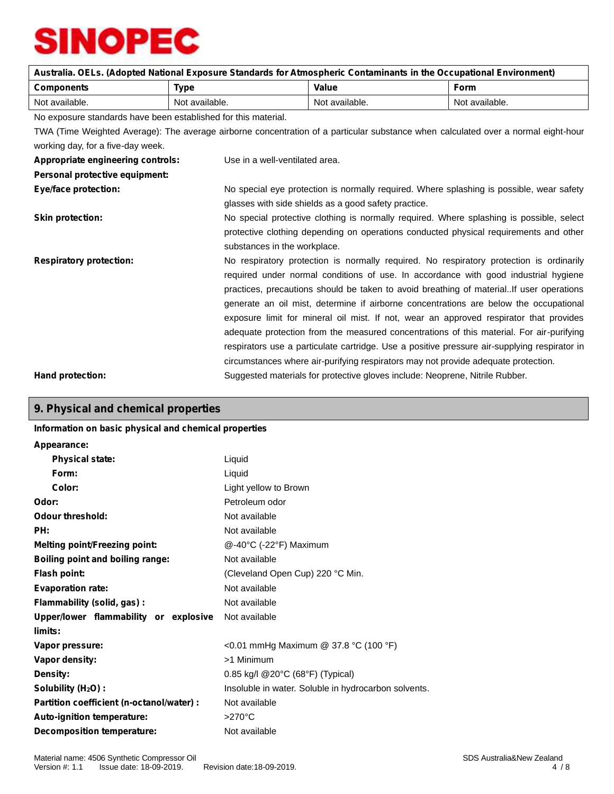|                                                                |                                                                                          |                                                                                          | Australia. OELs. (Adopted National Exposure Standards for Atmospheric Contaminants in the Occupational Environment)                |  |
|----------------------------------------------------------------|------------------------------------------------------------------------------------------|------------------------------------------------------------------------------------------|------------------------------------------------------------------------------------------------------------------------------------|--|
| <b>Components</b>                                              | <b>Type</b>                                                                              | Value                                                                                    | <b>Form</b>                                                                                                                        |  |
| Not available.                                                 | Not available.                                                                           | Not available.                                                                           | Not available.                                                                                                                     |  |
| No exposure standards have been established for this material. |                                                                                          |                                                                                          |                                                                                                                                    |  |
|                                                                |                                                                                          |                                                                                          | TWA (Time Weighted Average): The average airborne concentration of a particular substance when calculated over a normal eight-hour |  |
| working day, for a five-day week.                              |                                                                                          |                                                                                          |                                                                                                                                    |  |
| Appropriate engineering controls:                              | Use in a well-ventilated area.                                                           |                                                                                          |                                                                                                                                    |  |
| Personal protective equipment:                                 |                                                                                          |                                                                                          |                                                                                                                                    |  |
| <b>Eye/face protection:</b>                                    | No special eye protection is normally required. Where splashing is possible, wear safety |                                                                                          |                                                                                                                                    |  |
|                                                                |                                                                                          | glasses with side shields as a good safety practice.                                     |                                                                                                                                    |  |
| <b>Skin protection:</b>                                        |                                                                                          | No special protective clothing is normally required. Where splashing is possible, select |                                                                                                                                    |  |
|                                                                |                                                                                          |                                                                                          | protective clothing depending on operations conducted physical requirements and other                                              |  |
|                                                                | substances in the workplace.                                                             |                                                                                          |                                                                                                                                    |  |
| <b>Respiratory protection:</b>                                 |                                                                                          | No respiratory protection is normally required. No respiratory protection is ordinarily  |                                                                                                                                    |  |
|                                                                |                                                                                          |                                                                                          | required under normal conditions of use. In accordance with good industrial hygiene                                                |  |
|                                                                |                                                                                          |                                                                                          | practices, precautions should be taken to avoid breathing of materialIf user operations                                            |  |
|                                                                |                                                                                          |                                                                                          | generate an oil mist, determine if airborne concentrations are below the occupational                                              |  |
|                                                                |                                                                                          |                                                                                          | exposure limit for mineral oil mist. If not, wear an approved respirator that provides                                             |  |
|                                                                |                                                                                          |                                                                                          | adequate protection from the measured concentrations of this material. For air-purifying                                           |  |
|                                                                |                                                                                          |                                                                                          | respirators use a particulate cartridge. Use a positive pressure air-supplying respirator in                                       |  |
|                                                                |                                                                                          |                                                                                          | circumstances where air-purifying respirators may not provide adequate protection.                                                 |  |
| Hand protection:                                               |                                                                                          |                                                                                          | Suggested materials for protective gloves include: Neoprene, Nitrile Rubber.                                                       |  |

# **9. Physical and chemical properties**

#### **Information on basic physical and chemical properties**

| Appearance:                               |                                                      |
|-------------------------------------------|------------------------------------------------------|
| <b>Physical state:</b>                    | Liquid                                               |
| Form:                                     | Liquid                                               |
| Color:                                    | Light yellow to Brown                                |
| Odor:                                     | Petroleum odor                                       |
| Odour threshold:                          | Not available                                        |
| PH:                                       | Not available                                        |
| <b>Melting point/Freezing point:</b>      | @-40°C (-22°F) Maximum                               |
| <b>Boiling point and boiling range:</b>   | Not available                                        |
| <b>Flash point:</b>                       | (Cleveland Open Cup) 220 °C Min.                     |
| <b>Evaporation rate:</b>                  | Not available                                        |
| Flammability (solid, gas):                | Not available                                        |
| Upper/lower flammability or explosive     | Not available                                        |
| limits:                                   |                                                      |
| Vapor pressure:                           | <0.01 mmHg Maximum @ 37.8 °C (100 °F)                |
| Vapor density:                            | >1 Minimum                                           |
| Density:                                  | 0.85 kg/l @20°C (68°F) (Typical)                     |
| Solubility (H <sub>2</sub> O) :           | Insoluble in water. Soluble in hydrocarbon solvents. |
| Partition coefficient (n-octanol/water) : | Not available                                        |
| Auto-ignition temperature:                | $>270^{\circ}$ C                                     |
| <b>Decomposition temperature:</b>         | Not available                                        |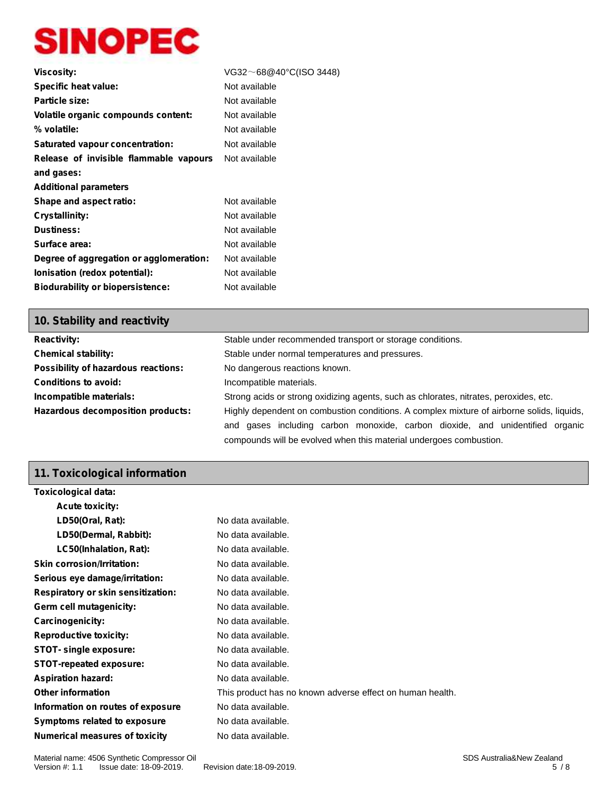| VG32~68@40°C(ISO 3448) |
|------------------------|
| Not available          |
| Not available          |
| Not available          |
| Not available          |
| Not available          |
| Not available          |
|                        |
|                        |
| Not available          |
| Not available          |
| Not available          |
| Not available          |
| Not available          |
| Not available          |
| Not available          |
|                        |

### **10. Stability and reactivity**

| <b>Reactivity:</b>                  | Stable under recommended transport or storage conditions.                                 |  |  |
|-------------------------------------|-------------------------------------------------------------------------------------------|--|--|
| <b>Chemical stability:</b>          | Stable under normal temperatures and pressures.                                           |  |  |
| Possibility of hazardous reactions: | No dangerous reactions known.                                                             |  |  |
| <b>Conditions to avoid:</b>         | Incompatible materials.                                                                   |  |  |
| Incompatible materials:             | Strong acids or strong oxidizing agents, such as chlorates, nitrates, peroxides, etc.     |  |  |
| Hazardous decomposition products:   | Highly dependent on combustion conditions. A complex mixture of airborne solids, liquids, |  |  |
|                                     | and gases including carbon monoxide, carbon dioxide, and unidentified organic             |  |  |
|                                     | compounds will be evolved when this material undergoes combustion.                        |  |  |

# **11. Toxicological information**

| Toxicological data:                       |                                                           |
|-------------------------------------------|-----------------------------------------------------------|
| <b>Acute toxicity:</b>                    |                                                           |
| LD50(Oral, Rat):                          | No data available.                                        |
| LD50(Dermal, Rabbit):                     | No data available.                                        |
| LC50(Inhalation, Rat):                    | No data available.                                        |
| <b>Skin corrosion/Irritation:</b>         | No data available.                                        |
| Serious eye damage/irritation:            | No data available.                                        |
| <b>Respiratory or skin sensitization:</b> | No data available.                                        |
| Germ cell mutagenicity:                   | No data available.                                        |
| <b>Carcinogenicity:</b>                   | No data available.                                        |
| <b>Reproductive toxicity:</b>             | No data available.                                        |
| STOT- single exposure:                    | No data available.                                        |
| <b>STOT-repeated exposure:</b>            | No data available.                                        |
| <b>Aspiration hazard:</b>                 | No data available.                                        |
| <b>Other information</b>                  | This product has no known adverse effect on human health. |
| Information on routes of exposure         | No data available.                                        |
| Symptoms related to exposure              | No data available.                                        |
| <b>Numerical measures of toxicity</b>     | No data available.                                        |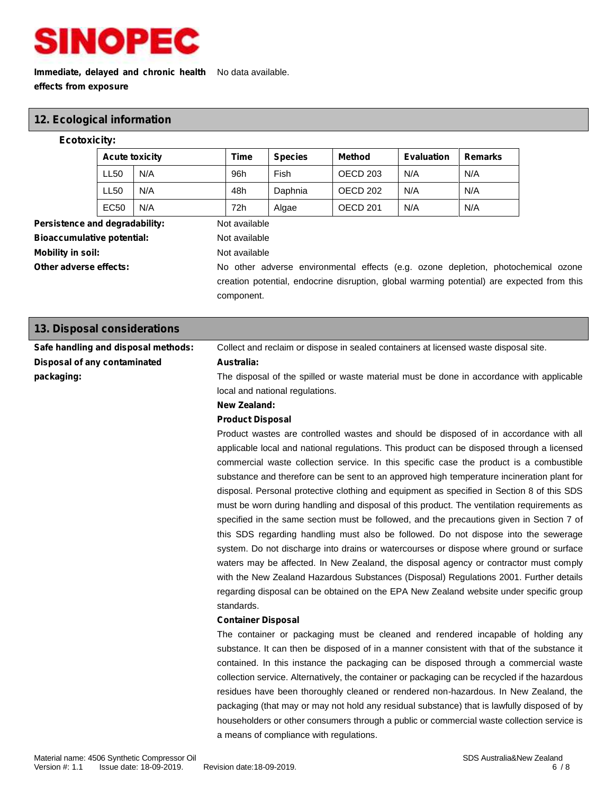

### **Immediate, delayed and chronic health** No data available. **effects from exposure**

### **12. Ecological information**

#### **Ecotoxicity:**

| <b>Acute toxicity</b> |     | Time | <b>Species</b> | <b>Method</b>       | <b>Evaluation</b> | <b>Remarks</b> |
|-----------------------|-----|------|----------------|---------------------|-------------------|----------------|
| LL <sub>50</sub>      | N/A | 96h  | Fish           | OECD 203            | N/A               | N/A            |
| LL50                  | N/A | 48h  | Daphnia        | OECD 202            | N/A               | N/A            |
| EC <sub>50</sub>      | N/A | 72h  | Algae          | OECD <sub>201</sub> | N/A               | N/A            |

**Persistence and degradability:** Not available **Bioaccumulative potential:** Not available **Mobility in soil:** Not available

Other adverse effects: No other adverse environmental effects (e.g. ozone depletion, photochemical ozone creation potential, endocrine disruption, global warming potential) are expected from this component.

| 13. Disposal considerations         |                                                                                                |
|-------------------------------------|------------------------------------------------------------------------------------------------|
| Safe handling and disposal methods: | Collect and reclaim or dispose in sealed containers at licensed waste disposal site.           |
| Disposal of any contaminated        | Australia:                                                                                     |
| packaging:                          | The disposal of the spilled or waste material must be done in accordance with applicable       |
|                                     | local and national regulations.                                                                |
|                                     | New Zealand:                                                                                   |
|                                     | <b>Product Disposal</b>                                                                        |
|                                     | Product wastes are controlled wastes and should be disposed of in accordance with all          |
|                                     | applicable local and national regulations. This product can be disposed through a licensed     |
|                                     | commercial waste collection service. In this specific case the product is a combustible        |
|                                     | substance and therefore can be sent to an approved high temperature incineration plant for     |
|                                     | disposal. Personal protective clothing and equipment as specified in Section 8 of this SDS     |
|                                     | must be worn during handling and disposal of this product. The ventilation requirements as     |
|                                     | specified in the same section must be followed, and the precautions given in Section 7 of      |
|                                     | this SDS regarding handling must also be followed. Do not dispose into the sewerage            |
|                                     | system. Do not discharge into drains or watercourses or dispose where ground or surface        |
|                                     | waters may be affected. In New Zealand, the disposal agency or contractor must comply          |
|                                     | with the New Zealand Hazardous Substances (Disposal) Regulations 2001. Further details         |
|                                     | regarding disposal can be obtained on the EPA New Zealand website under specific group         |
|                                     | standards.                                                                                     |
|                                     | <b>Container Disposal</b>                                                                      |
|                                     | The container or packaging must be cleaned and rendered incapable of holding any               |
|                                     | substance. It can then be disposed of in a manner consistent with that of the substance it     |
|                                     | contained. In this instance the packaging can be disposed through a commercial waste           |
|                                     | collection service. Alternatively, the container or packaging can be recycled if the hazardous |
|                                     | residues have been thoroughly cleaned or rendered non-hazardous. In New Zealand, the           |
|                                     | packaging (that may or may not hold any residual substance) that is lawfully disposed of by    |
|                                     | householders or other consumers through a public or commercial waste collection service is     |
|                                     | a means of compliance with regulations.                                                        |
|                                     |                                                                                                |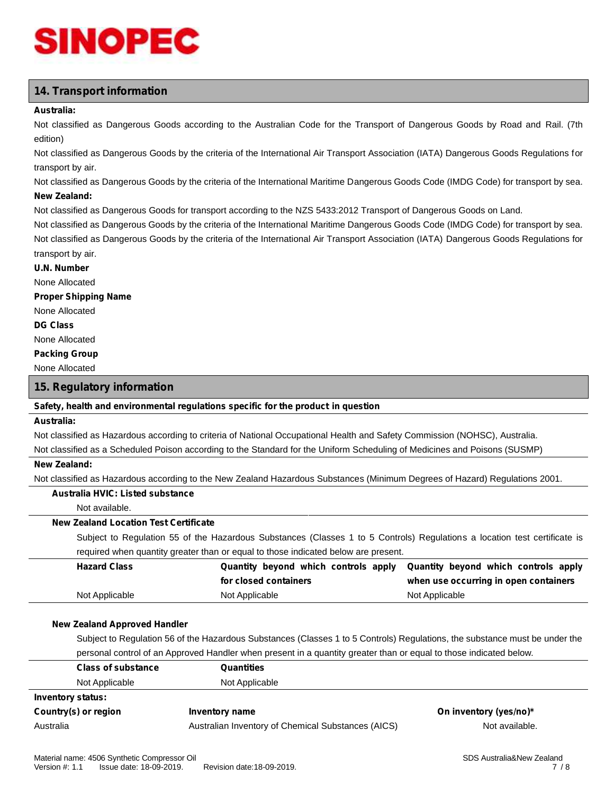# **14. Transport information**

#### **Australia:**

Not classified as Dangerous Goods according to the Australian Code for the Transport of Dangerous Goods by Road and Rail. (7th edition)

Not classified as Dangerous Goods by the criteria of the International Air Transport Association (IATA) Dangerous Goods Regulations for transport by air.

Not classified as Dangerous Goods by the criteria of the International Maritime Dangerous Goods Code (IMDG Code) for transport by sea.

#### **New Zealand:**

Not classified as Dangerous Goods for transport according to the NZS 5433:2012 Transport of Dangerous Goods on Land.

Not classified as Dangerous Goods by the criteria of the International Maritime Dangerous Goods Code (IMDG Code) for transport by sea. Not classified as Dangerous Goods by the criteria of the International Air Transport Association (IATA) Dangerous Goods Regulations for transport by air.

#### **U.N. Number**

None Allocated

**Proper Shipping Name**

#### None Allocated

**DG Class**

#### None Allocated

**Packing Group**

None Allocated

#### **15. Regulatory information**

#### **Safety, health and environmental regulations specific for the product in question**

#### **Australia:**

Not classified as Hazardous according to criteria of National Occupational Health and Safety Commission (NOHSC), Australia.

Not classified as a Scheduled Poison according to the Standard for the Uniform Scheduling of Medicines and Poisons (SUSMP)

#### **New Zealand:**

Not classified as Hazardous according to the New Zealand Hazardous Substances (Minimum Degrees of Hazard) Regulations 2001.

#### **Australia HVIC: Listed substance**

Not available.

#### **New Zealand Location Test Certificate**

Subject to Regulation 55 of the Hazardous Substances (Classes 1 to 5 Controls) Regulations a location test certificate is required when quantity greater than or equal to those indicated below are present.

| <b>Hazard Class</b> |                       | Quantity beyond which controls apply Quantity beyond which controls apply |
|---------------------|-----------------------|---------------------------------------------------------------------------|
|                     | for closed containers | when use occurring in open containers                                     |
| Not Applicable      | Not Applicable        | Not Applicable                                                            |

#### **New Zealand Approved Handler**

Subject to Regulation 56 of the Hazardous Substances (Classes 1 to 5 Controls) Regulations, the substance must be under the personal control of an Approved Handler when present in a quantity greater than or equal to those indicated below.

| <b>Class of substance</b> | Quantities                                         |                        |
|---------------------------|----------------------------------------------------|------------------------|
| Not Applicable            | Not Applicable                                     |                        |
| <b>Inventory status:</b>  |                                                    |                        |
| Country(s) or region      | Inventory name                                     | On inventory (yes/no)* |
| Australia                 | Australian Inventory of Chemical Substances (AICS) | Not available.         |